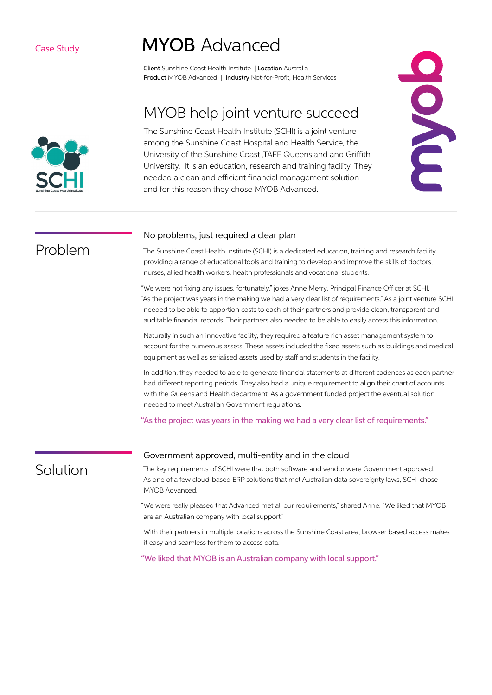# **MYOB** Advanced

Client Sunshine Coast Health Institute | Location Australia Product MYOB Advanced | Industry Not-for-Profit, Health Services

## MYOB help joint venture succeed

The Sunshine Coast Health Institute (SCHI) is a joint venture among the Sunshine Coast Hospital and Health Service, the University of the Sunshine Coast ,TAFE Queensland and Griffith University. It is an education, research and training facility. They needed a clean and efficient financial management solution and for this reason they chose MYOB Advanced.



Problem

### No problems, just required a clear plan

The Sunshine Coast Health Institute (SCHI) is a dedicated education, training and research facility providing a range of educational tools and training to develop and improve the skills of doctors, nurses, allied health workers, health professionals and vocational students.

"We were not fixing any issues, fortunately," jokes Anne Merry, Principal Finance Officer at SCHI. "As the project was years in the making we had a very clear list of requirements." As a joint venture SCHI needed to be able to apportion costs to each of their partners and provide clean, transparent and auditable financial records. Their partners also needed to be able to easily access this information.

Naturally in such an innovative facility, they required a feature rich asset management system to account for the numerous assets. These assets included the fixed assets such as buildings and medical equipment as well as serialised assets used by staff and students in the facility.

In addition, they needed to able to generate financial statements at different cadences as each partner had different reporting periods. They also had a unique requirement to align their chart of accounts with the Queensland Health department. As a government funded project the eventual solution needed to meet Australian Government regulations.

"As the project was years in the making we had a very clear list of requirements."

## Solution

### Government approved, multi-entity and in the cloud

The key requirements of SCHI were that both software and vendor were Government approved. As one of a few cloud-based ERP solutions that met Australian data sovereignty laws, SCHI chose MYOB Advanced.

"We were really pleased that Advanced met all our requirements," shared Anne. "We liked that MYOB are an Australian company with local support."

With their partners in multiple locations across the Sunshine Coast area, browser based access makes it easy and seamless for them to access data.

"We liked that MYOB is an Australian company with local support."